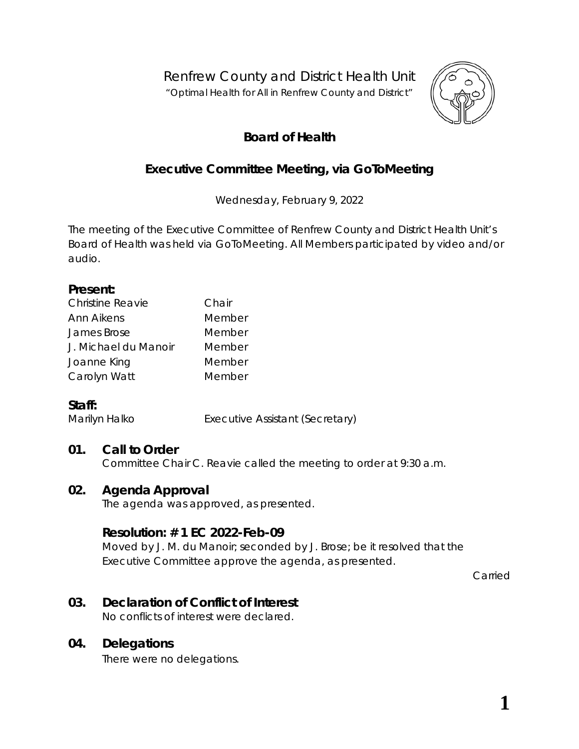Renfrew County and District Health Unit

*"Optimal Health for All in Renfrew County and District"*



# **Board of Health**

# **Executive Committee Meeting, via** *GoToMeeting*

Wednesday, February 9, 2022

The meeting of the Executive Committee of Renfrew County and District Health Unit's Board of Health was held via *GoToMeeting*. All Members participated by video and/or audio.

#### **Present:**

| <b>Christine Reavie</b> | Chair  |  |
|-------------------------|--------|--|
| Ann Aikens              | Member |  |
| James Brose             | Member |  |
| J. Michael du Manoir    | Member |  |
| Joanne King             | Member |  |
| Carolyn Watt            | Member |  |

## **Staff:**

Marilyn Halko **Executive Assistant (Secretary)** 

## **01. Call to Order**

Committee Chair C. Reavie called the meeting to order at 9:30 a.m.

## **02. Agenda Approval**

The agenda was approved, as presented.

## **Resolution: # 1 EC 2022-Feb-09**

Moved by J. M. du Manoir; seconded by J. Brose; be it resolved that the Executive Committee approve the agenda, as presented.

Carried

## **03. Declaration of Conflict of Interest**

No conflicts of interest were declared.

## **04. Delegations**

There were no delegations.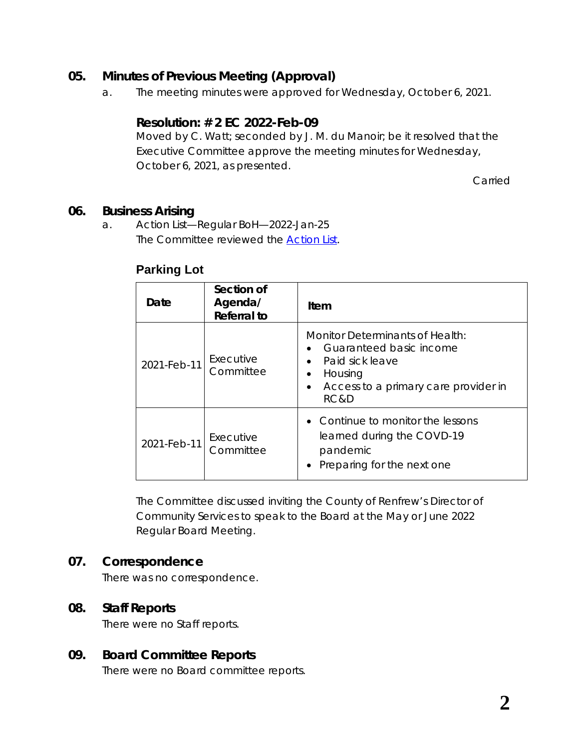### **05. Minutes of Previous Meeting (Approval)**

a. The meeting minutes were approved for Wednesday, October 6, 2021.

#### **Resolution: # 2 EC 2022-Feb-09**

Moved by C. Watt; seconded by J. M. du Manoir; be it resolved that the Executive Committee approve the meeting minutes for Wednesday, October 6, 2021, as presented.

Carried

#### **06. Business Arising**

a. Action List—Regular BoH—2022-Jan-25 The Committee reviewed the *[Action List](https://www.rcdhu.com/wp-content/uploads/2022/03/06.-a.-Action-List-from-the-Regular-Board-Meeting-2022-Jan-25.pdf)*.

| Date        | Section of<br>Agenda/<br><b>Referral to</b> | Item                                                                                                                                                               |
|-------------|---------------------------------------------|--------------------------------------------------------------------------------------------------------------------------------------------------------------------|
| 2021-Feb-11 | Executive<br>Committee                      | Monitor Determinants of Health:<br>Guaranteed basic income<br>Paid sick leave<br>$\bullet$<br>Housing<br>Access to a primary care provider in<br>$\bullet$<br>RC&D |
| 2021-Feb-11 | Executive<br>Committee                      | $\bullet$ Continue to monitor the lessons<br>learned during the COVD-19<br>pandemic<br>Preparing for the next one                                                  |

#### **Parking Lot**

The Committee discussed inviting the County of Renfrew's Director of Community Services to speak to the Board at the May or June 2022 Regular Board Meeting.

#### **07. Correspondence**

There was no correspondence.

#### **08. Staff Reports**

There were no Staff reports.

#### **09. Board Committee Reports**

There were no Board committee reports.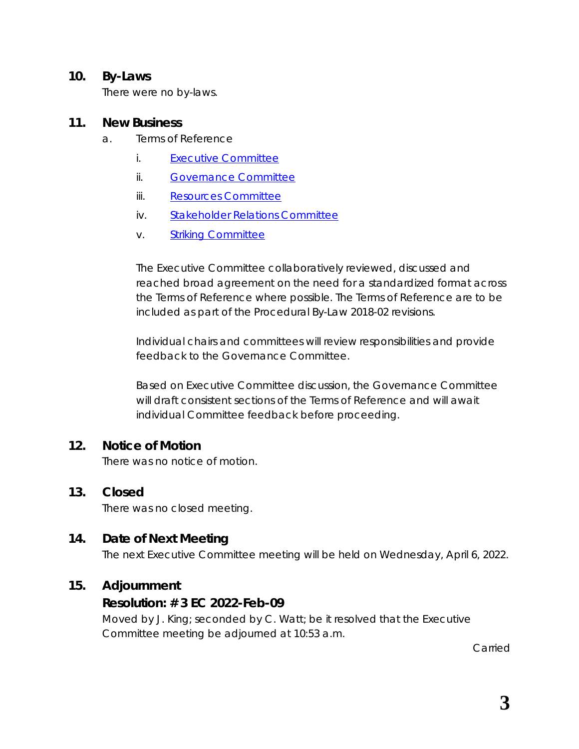#### **10. By-Laws**

There were no by-laws.

#### **11. New Business**

- a. Terms of Reference
	- i. [Executive Committee](https://www.rcdhu.com/wp-content/uploads/2022/03/WORKING-COPY-1-Executive-Committee-Terms-of-Reference-2022-Jan-21.pdf)
	- ii. [Governance Committee](https://www.rcdhu.com/wp-content/uploads/2022/03/WORKING-COPY-1-Governance-Committee-Terms-of-Reference-2022-Jan-20.pdf)
	- iii. [Resources Committee](https://www.rcdhu.com/wp-content/uploads/2022/03/WORKING-COPY-1-Resources-Committee-Terms-of-Reference-2022-Jan-20.pdf)
	- iv. [Stakeholder Relations Committee](https://www.rcdhu.com/wp-content/uploads/2022/03/WORKING-COPY-1-Stakeholder-Relations-Committee-Terms-of-Reference-2022-Jan-20.pdf)
	- v. [Striking Committee](https://www.rcdhu.com/wp-content/uploads/2022/03/WORKING-COPY-1-Striking-Committee-Terms-of-Reference-2022-Jan-20.pdf)

The Executive Committee collaboratively reviewed, discussed and reached broad agreement on the need for a standardized format across the Terms of Reference where possible. The Terms of Reference are to be included as part of the Procedural By-Law 2018-02 revisions.

Individual chairs and committees will review responsibilities and provide feedback to the Governance Committee.

Based on Executive Committee discussion, the Governance Committee will draft consistent sections of the Terms of Reference and will await individual Committee feedback before proceeding.

#### **12. Notice of Motion**

There was no notice of motion.

## **13. Closed**

There was no closed meeting.

## **14. Date of Next Meeting**

The next Executive Committee meeting will be held on Wednesday, April 6, 2022.

#### **15. Adjournment**

#### **Resolution: # 3 EC 2022-Feb-09**

Moved by J. King; seconded by C. Watt; be it resolved that the Executive Committee meeting be adjourned at 10:53 a.m.

Carried